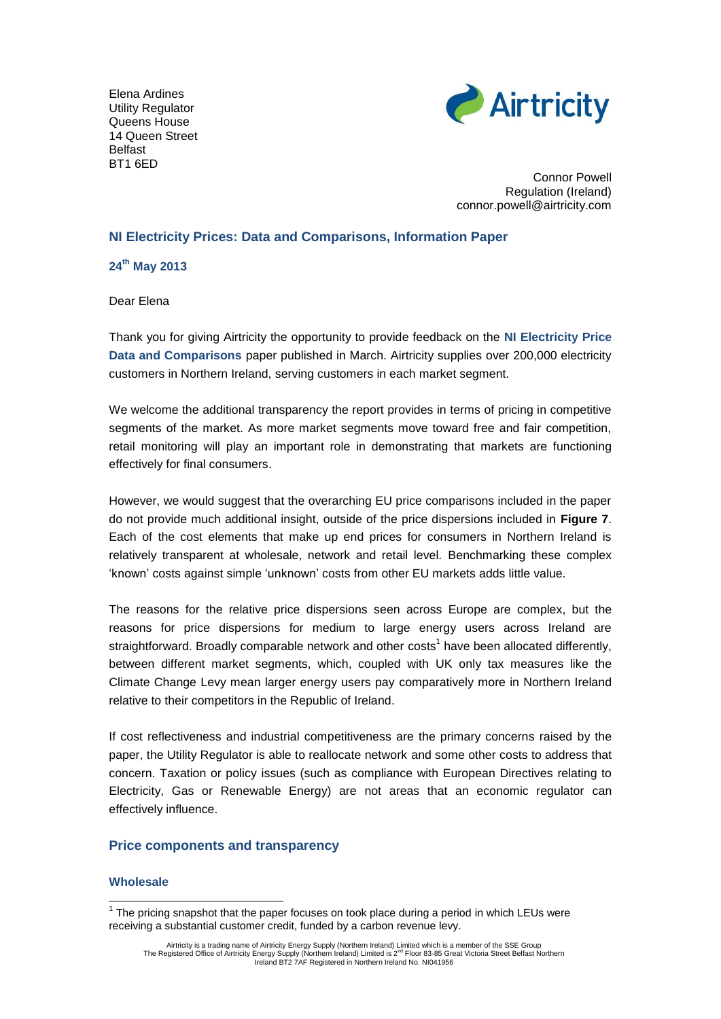Elena Ardines Utility Regulator Queens House 14 Queen Street Belfast BT1 6ED



Connor Powell Regulation (Ireland) connor.powell@airtricity.com

# **NI Electricity Prices: Data and Comparisons, Information Paper**

**24th May 2013**

Dear Elena

Thank you for giving Airtricity the opportunity to provide feedback on the **NI Electricity Price Data and Comparisons** paper published in March. Airtricity supplies over 200,000 electricity customers in Northern Ireland, serving customers in each market segment.

We welcome the additional transparency the report provides in terms of pricing in competitive segments of the market. As more market segments move toward free and fair competition, retail monitoring will play an important role in demonstrating that markets are functioning effectively for final consumers.

However, we would suggest that the overarching EU price comparisons included in the paper do not provide much additional insight, outside of the price dispersions included in **Figure 7**. Each of the cost elements that make up end prices for consumers in Northern Ireland is relatively transparent at wholesale, network and retail level. Benchmarking these complex 'known' costs against simple 'unknown' costs from other EU markets adds little value.

The reasons for the relative price dispersions seen across Europe are complex, but the reasons for price dispersions for medium to large energy users across Ireland are straightforward. Broadly comparable network and other costs<sup>1</sup> have been allocated differently, between different market segments, which, coupled with UK only tax measures like the Climate Change Levy mean larger energy users pay comparatively more in Northern Ireland relative to their competitors in the Republic of Ireland.

If cost reflectiveness and industrial competitiveness are the primary concerns raised by the paper, the Utility Regulator is able to reallocate network and some other costs to address that concern. Taxation or policy issues (such as compliance with European Directives relating to Electricity, Gas or Renewable Energy) are not areas that an economic regulator can effectively influence.

# **Price components and transparency**

### **Wholesale**

1

 $1$  The pricing snapshot that the paper focuses on took place during a period in which LEUs were receiving a substantial customer credit, funded by a carbon revenue levy.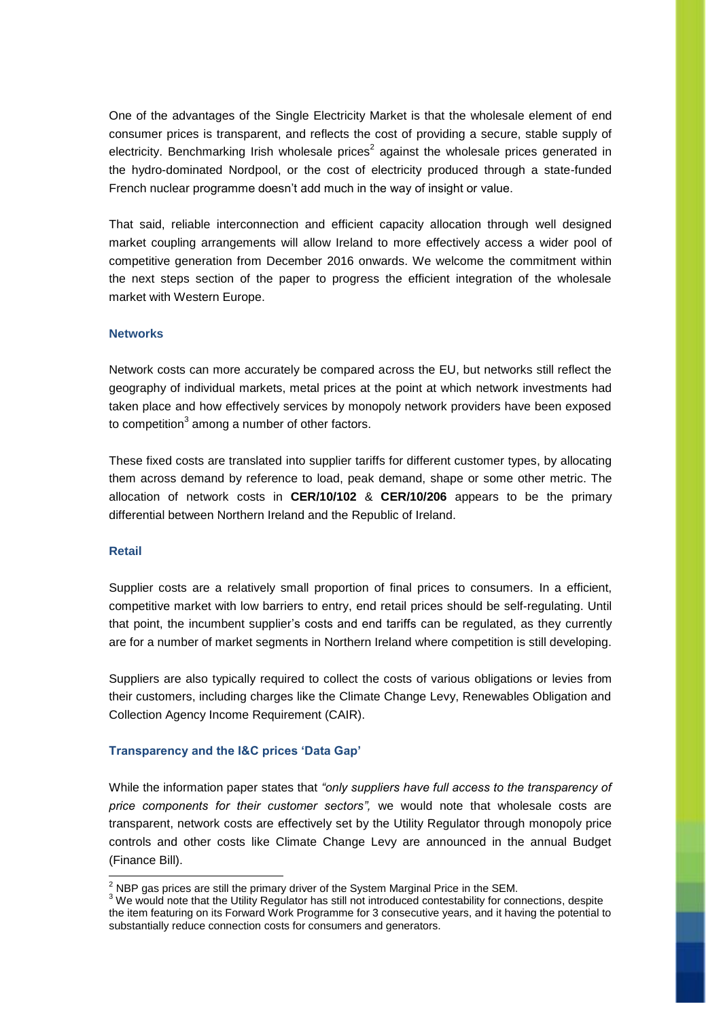One of the advantages of the Single Electricity Market is that the wholesale element of end consumer prices is transparent, and reflects the cost of providing a secure, stable supply of electricity. Benchmarking Irish wholesale prices<sup>2</sup> against the wholesale prices generated in the hydro-dominated Nordpool, or the cost of electricity produced through a state-funded French nuclear programme doesn't add much in the way of insight or value.

That said, reliable interconnection and efficient capacity allocation through well designed market coupling arrangements will allow Ireland to more effectively access a wider pool of competitive generation from December 2016 onwards. We welcome the commitment within the next steps section of the paper to progress the efficient integration of the wholesale market with Western Europe.

### **Networks**

Network costs can more accurately be compared across the EU, but networks still reflect the geography of individual markets, metal prices at the point at which network investments had taken place and how effectively services by monopoly network providers have been exposed to competition<sup>3</sup> among a number of other factors.

These fixed costs are translated into supplier tariffs for different customer types, by allocating them across demand by reference to load, peak demand, shape or some other metric. The allocation of network costs in **CER/10/102** & **CER/10/206** appears to be the primary differential between Northern Ireland and the Republic of Ireland.

# **Retail**

-

Supplier costs are a relatively small proportion of final prices to consumers. In a efficient, competitive market with low barriers to entry, end retail prices should be self-regulating. Until that point, the incumbent supplier's costs and end tariffs can be regulated, as they currently are for a number of market segments in Northern Ireland where competition is still developing.

Suppliers are also typically required to collect the costs of various obligations or levies from their customers, including charges like the Climate Change Levy, Renewables Obligation and Collection Agency Income Requirement (CAIR).

### **Transparency and the I&C prices 'Data Gap'**

While the information paper states that *"only suppliers have full access to the transparency of price components for their customer sectors",* we would note that wholesale costs are transparent, network costs are effectively set by the Utility Regulator through monopoly price controls and other costs like Climate Change Levy are announced in the annual Budget (Finance Bill).

 $^{2}$  NBP gas prices are still the primary driver of the System Marginal Price in the SEM.

<sup>&</sup>lt;sup>3</sup> We would note that the Utility Regulator has still not introduced contestability for connections, despite the item featuring on its Forward Work Programme for 3 consecutive years, and it having the potential to substantially reduce connection costs for consumers and generators.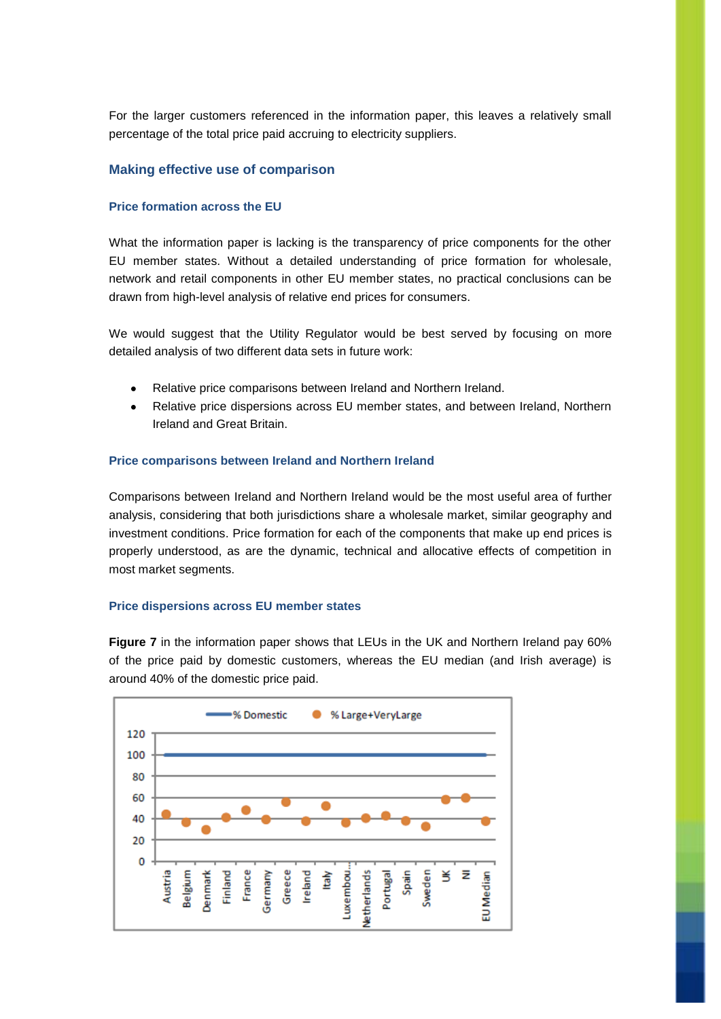For the larger customers referenced in the information paper, this leaves a relatively small percentage of the total price paid accruing to electricity suppliers.

# **Making effective use of comparison**

## **Price formation across the EU**

What the information paper is lacking is the transparency of price components for the other EU member states. Without a detailed understanding of price formation for wholesale, network and retail components in other EU member states, no practical conclusions can be drawn from high-level analysis of relative end prices for consumers.

We would suggest that the Utility Regulator would be best served by focusing on more detailed analysis of two different data sets in future work:

- Relative price comparisons between Ireland and Northern Ireland.
- Relative price dispersions across EU member states, and between Ireland, Northern Ireland and Great Britain.

#### **Price comparisons between Ireland and Northern Ireland**

Comparisons between Ireland and Northern Ireland would be the most useful area of further analysis, considering that both jurisdictions share a wholesale market, similar geography and investment conditions. Price formation for each of the components that make up end prices is properly understood, as are the dynamic, technical and allocative effects of competition in most market segments.

### **Price dispersions across EU member states**

**Figure 7** in the information paper shows that LEUs in the UK and Northern Ireland pay 60% of the price paid by domestic customers, whereas the EU median (and Irish average) is around 40% of the domestic price paid.

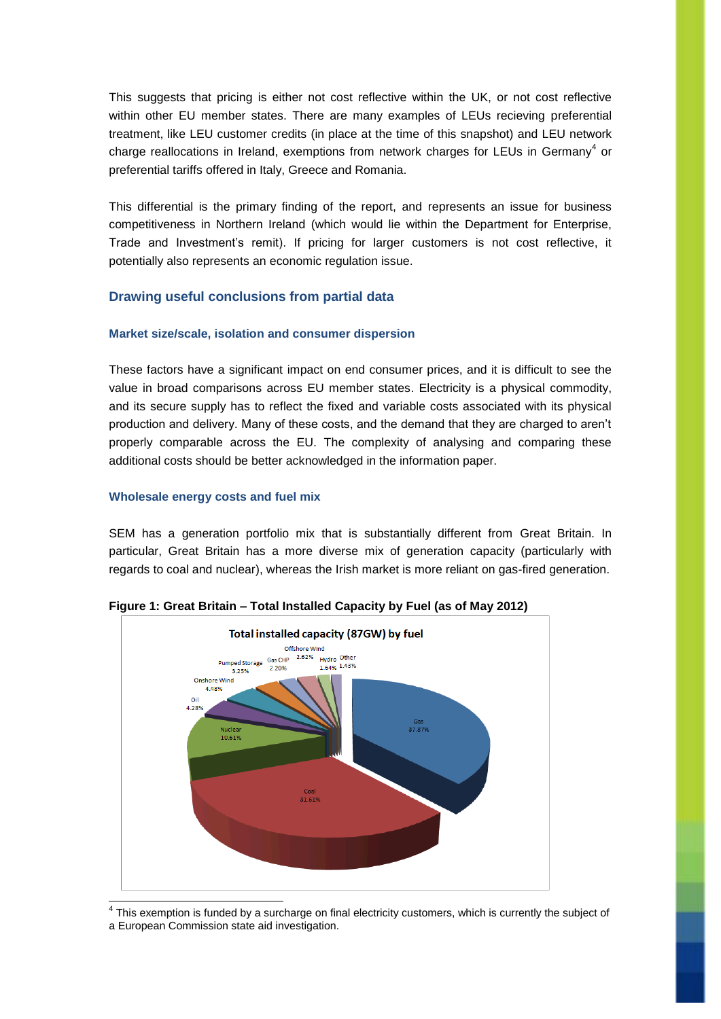This suggests that pricing is either not cost reflective within the UK, or not cost reflective within other EU member states. There are many examples of LEUs recieving preferential treatment, like LEU customer credits (in place at the time of this snapshot) and LEU network charge reallocations in Ireland, exemptions from network charges for LEUs in Germany<sup>4</sup> or preferential tariffs offered in Italy, Greece and Romania.

This differential is the primary finding of the report, and represents an issue for business competitiveness in Northern Ireland (which would lie within the Department for Enterprise, Trade and Investment's remit). If pricing for larger customers is not cost reflective, it potentially also represents an economic regulation issue.

# **Drawing useful conclusions from partial data**

## **Market size/scale, isolation and consumer dispersion**

These factors have a significant impact on end consumer prices, and it is difficult to see the value in broad comparisons across EU member states. Electricity is a physical commodity, and its secure supply has to reflect the fixed and variable costs associated with its physical production and delivery. Many of these costs, and the demand that they are charged to aren't properly comparable across the EU. The complexity of analysing and comparing these additional costs should be better acknowledged in the information paper.

## **Wholesale energy costs and fuel mix**

SEM has a generation portfolio mix that is substantially different from Great Britain. In particular, Great Britain has a more diverse mix of generation capacity (particularly with regards to coal and nuclear), whereas the Irish market is more reliant on gas-fired generation.



**Figure 1: Great Britain – Total Installed Capacity by Fuel (as of May 2012)**

 $4$  This exemption is funded by a surcharge on final electricity customers, which is currently the subject of a European Commission state aid investigation.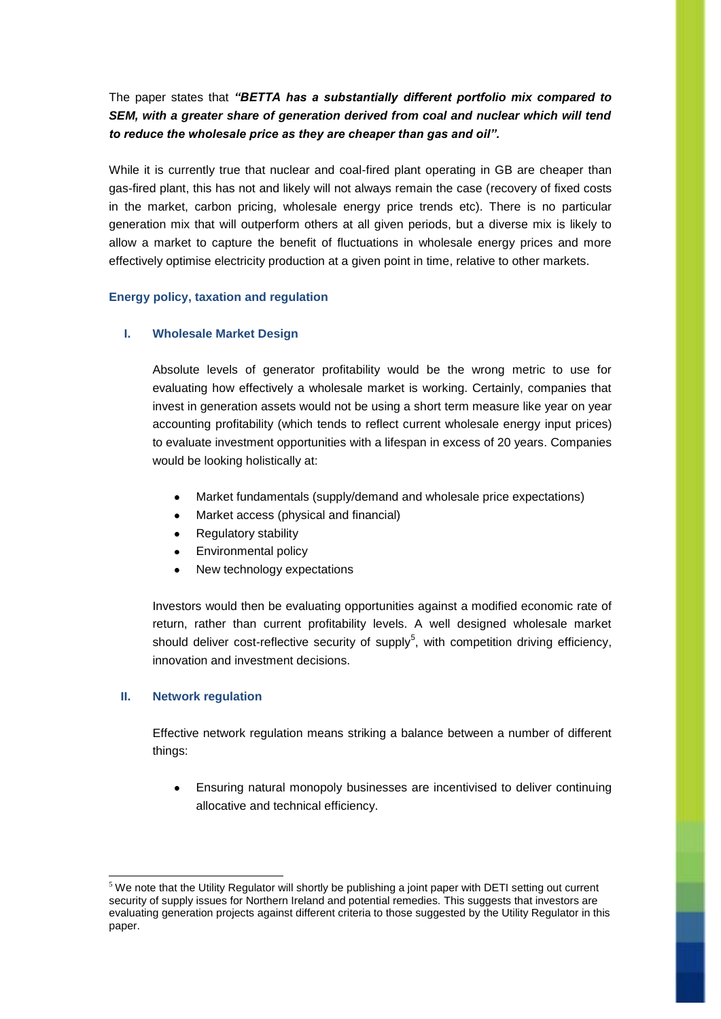The paper states that *"BETTA has a substantially different portfolio mix compared to SEM, with a greater share of generation derived from coal and nuclear which will tend to reduce the wholesale price as they are cheaper than gas and oil".*

While it is currently true that nuclear and coal-fired plant operating in GB are cheaper than gas-fired plant, this has not and likely will not always remain the case (recovery of fixed costs in the market, carbon pricing, wholesale energy price trends etc). There is no particular generation mix that will outperform others at all given periods, but a diverse mix is likely to allow a market to capture the benefit of fluctuations in wholesale energy prices and more effectively optimise electricity production at a given point in time, relative to other markets.

## **Energy policy, taxation and regulation**

## **I. Wholesale Market Design**

Absolute levels of generator profitability would be the wrong metric to use for evaluating how effectively a wholesale market is working. Certainly, companies that invest in generation assets would not be using a short term measure like year on year accounting profitability (which tends to reflect current wholesale energy input prices) to evaluate investment opportunities with a lifespan in excess of 20 years. Companies would be looking holistically at:

- Market fundamentals (supply/demand and wholesale price expectations)
- Market access (physical and financial)
- Regulatory stability
- Environmental policy
- New technology expectations

Investors would then be evaluating opportunities against a modified economic rate of return, rather than current profitability levels. A well designed wholesale market should deliver cost-reflective security of supply<sup>5</sup>, with competition driving efficiency, innovation and investment decisions.

### **II. Network regulation**

-

Effective network regulation means striking a balance between a number of different things:

Ensuring natural monopoly businesses are incentivised to deliver continuing allocative and technical efficiency.

 $5$  We note that the Utility Regulator will shortly be publishing a joint paper with DETI setting out current security of supply issues for Northern Ireland and potential remedies. This suggests that investors are evaluating generation projects against different criteria to those suggested by the Utility Regulator in this paper.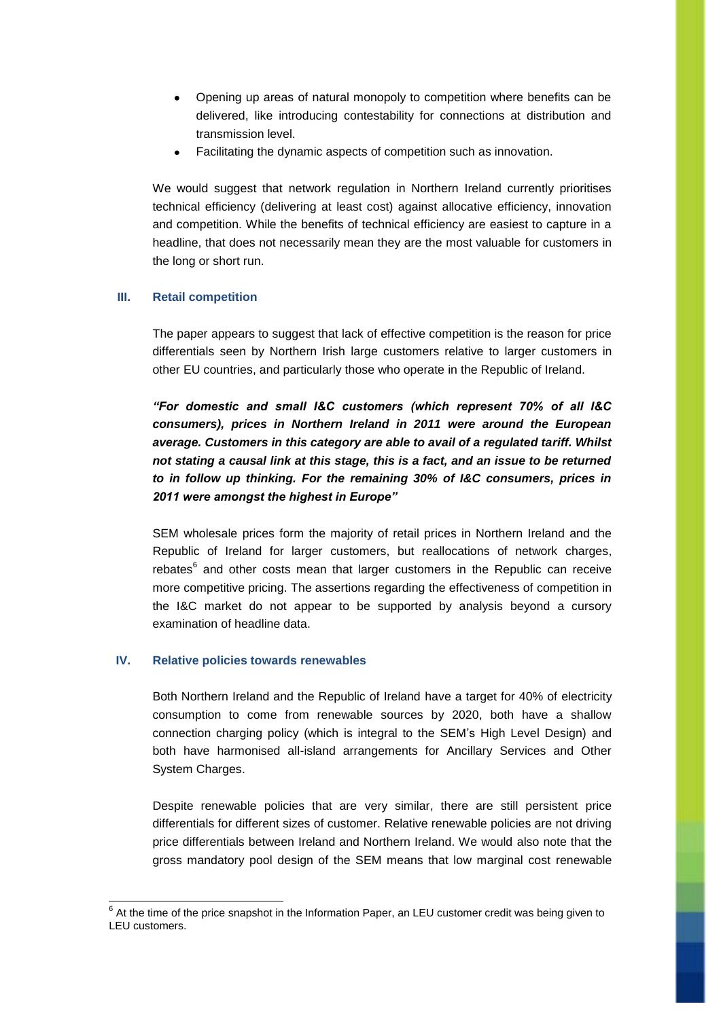- Opening up areas of natural monopoly to competition where benefits can be delivered, like introducing contestability for connections at distribution and transmission level.
- Facilitating the dynamic aspects of competition such as innovation.

We would suggest that network regulation in Northern Ireland currently prioritises technical efficiency (delivering at least cost) against allocative efficiency, innovation and competition. While the benefits of technical efficiency are easiest to capture in a headline, that does not necessarily mean they are the most valuable for customers in the long or short run.

# **III. Retail competition**

The paper appears to suggest that lack of effective competition is the reason for price differentials seen by Northern Irish large customers relative to larger customers in other EU countries, and particularly those who operate in the Republic of Ireland.

*"For domestic and small I&C customers (which represent 70% of all I&C consumers), prices in Northern Ireland in 2011 were around the European average. Customers in this category are able to avail of a regulated tariff. Whilst not stating a causal link at this stage, this is a fact, and an issue to be returned to in follow up thinking. For the remaining 30% of I&C consumers, prices in 2011 were amongst the highest in Europe"*

SEM wholesale prices form the majority of retail prices in Northern Ireland and the Republic of Ireland for larger customers, but reallocations of network charges, rebates $^6$  and other costs mean that larger customers in the Republic can receive more competitive pricing. The assertions regarding the effectiveness of competition in the I&C market do not appear to be supported by analysis beyond a cursory examination of headline data.

# **IV. Relative policies towards renewables**

1

Both Northern Ireland and the Republic of Ireland have a target for 40% of electricity consumption to come from renewable sources by 2020, both have a shallow connection charging policy (which is integral to the SEM's High Level Design) and both have harmonised all-island arrangements for Ancillary Services and Other System Charges.

Despite renewable policies that are very similar, there are still persistent price differentials for different sizes of customer. Relative renewable policies are not driving price differentials between Ireland and Northern Ireland. We would also note that the gross mandatory pool design of the SEM means that low marginal cost renewable

 $6$  At the time of the price snapshot in the Information Paper, an LEU customer credit was being given to LEU customers.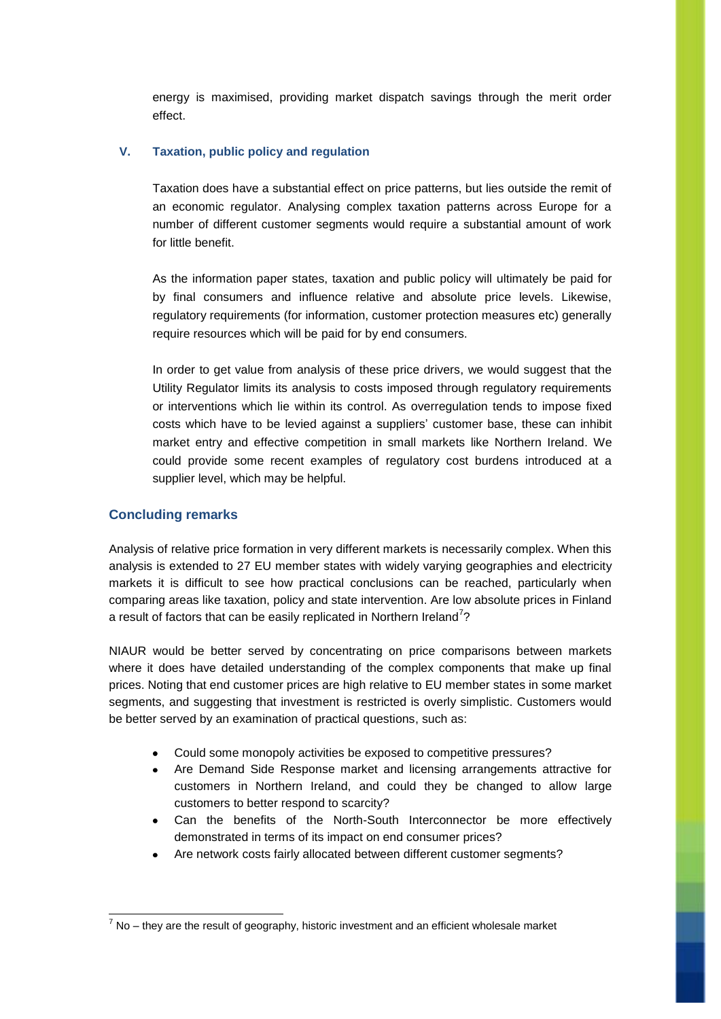energy is maximised, providing market dispatch savings through the merit order effect.

# **V. Taxation, public policy and regulation**

Taxation does have a substantial effect on price patterns, but lies outside the remit of an economic regulator. Analysing complex taxation patterns across Europe for a number of different customer segments would require a substantial amount of work for little benefit.

As the information paper states, taxation and public policy will ultimately be paid for by final consumers and influence relative and absolute price levels. Likewise, regulatory requirements (for information, customer protection measures etc) generally require resources which will be paid for by end consumers.

In order to get value from analysis of these price drivers, we would suggest that the Utility Regulator limits its analysis to costs imposed through regulatory requirements or interventions which lie within its control. As overregulation tends to impose fixed costs which have to be levied against a suppliers' customer base, these can inhibit market entry and effective competition in small markets like Northern Ireland. We could provide some recent examples of regulatory cost burdens introduced at a supplier level, which may be helpful.

# **Concluding remarks**

-

Analysis of relative price formation in very different markets is necessarily complex. When this analysis is extended to 27 EU member states with widely varying geographies and electricity markets it is difficult to see how practical conclusions can be reached, particularly when comparing areas like taxation, policy and state intervention. Are low absolute prices in Finland a result of factors that can be easily replicated in Northern Ireland<sup>7</sup>?

NIAUR would be better served by concentrating on price comparisons between markets where it does have detailed understanding of the complex components that make up final prices. Noting that end customer prices are high relative to EU member states in some market segments, and suggesting that investment is restricted is overly simplistic. Customers would be better served by an examination of practical questions, such as:

- Could some monopoly activities be exposed to competitive pressures?
- Are Demand Side Response market and licensing arrangements attractive for customers in Northern Ireland, and could they be changed to allow large customers to better respond to scarcity?
- Can the benefits of the North-South Interconnector be more effectively demonstrated in terms of its impact on end consumer prices?
- Are network costs fairly allocated between different customer segments?

 $<sup>7</sup>$  No – they are the result of geography, historic investment and an efficient wholesale market</sup>